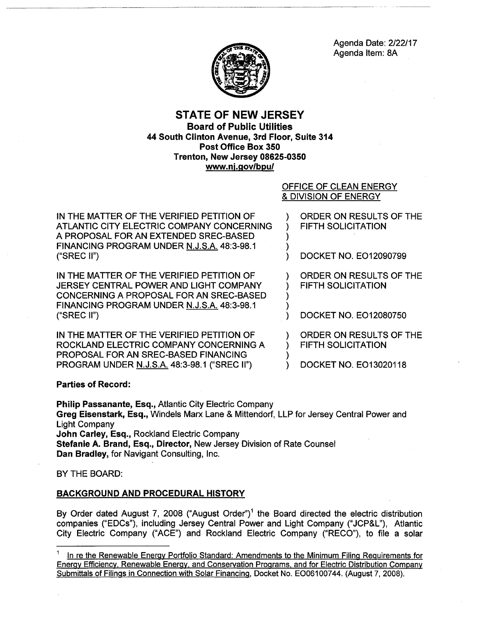

# STATE OF NEW JERSEY Board of Public Utilities 44 South Clinton Avenue, 3rd Floor, Suite 314 Post Office Box 350 Trenton, New Jersey 08625-0350 www.nj.gov/bpu/

## OFFICE OF CLEAN ENERGY & DIVISION OF ENERGY

) )

> ) )

)

IN THE MATTER OF THE VERIFIED PETITION OF ATLANTIC CITY ELECTRIC COMPANY CONCERNING A PROPOSAL FOR AN EXTENDED SREC-BASED FINANCING PROGRAM UNDER N.J.S.A. 48:3-98.1 ("SREC II")

IN THE MATTER OF THE VERIFIED PETITION OF JERSEY CENTRAL POWER AND LIGHT COMPANY CONCERNING A PROPOSAL FOR AN SREC-BASED FINANCING PROGRAM UNDER N.J.S.A. 48:3-98.1 ("SREC II")

IN THE MATTER OF THE VERIFIED PETITION OF ROCKLAND ELECTRIC COMPANY CONCERNING A PROPOSAL FOR AN SREC-BASED FINANCING PROGRAM UNDER N.J.S.A. 48:3-98.1 ("SREC II")

) ORDER ON RESULTS OF THE ) FIFTH SOLICITATION

) DOCKET NO. E012090799

) ORDER ON RESULTS OF THE ) FIFTH SOLICITATION

) DOCKET NO. E012080750

) ORDER ON RESULTS OF THE ) FIFTH SOLICITATION

) DOCKET NO. E013020118

Parties of Record:

Philip Passanante, Esq., Atlantic City Electric Company Greg Eisenstark, Esq., Windels Marx Lane & Mittendorf, LLP for Jersey Central Power and Light Company John Carley, Esq., Rockland Electric Company Stefanie A. Brand, Esq., Director, New Jersey Division of Rate Counsel Dan Bradley, for Navigant Consulting, Inc.

BY THE BOARD:

## BACKGROUND AND PROCEDURAL HISTORY

By Order dated August 7, 2008 ("August Order")<sup>1</sup> the Board directed the electric distribution companies ("EDCs"), including Jersey Central Power and Light Company ("JCP&L"), Atlantic City Electric Company ("ACE") and Rockland Electric Company ("RECO"), to file a solar

In re the Renewable Energy Portfolio Standard: Amendments to the Minimum Filing Requirements for Energy Efficiency. Renewable Energy. and Conservation Programs. and for Electric Distribution Company Submittals of Filings in Connection with Solar Financing, Docket No. E006100744. (August 7, 2008).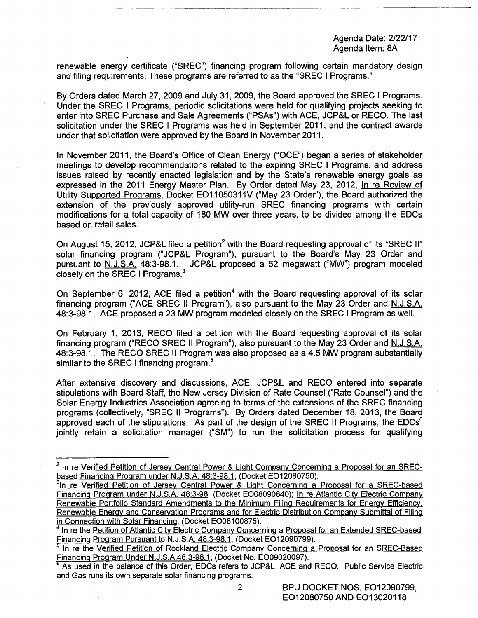renewable energy certificate ("SREC") financing program following certain mandatory design and filing requirements. These programs are referred to as the "SREC I Programs."

By Orders dated March 27, 2009 and July 31, 2009, the Board approved the SREC I Programs. Under the SREC I Programs, periodic solicitations were held for qualifying projects seeking to enter into SREC Purchase and Sale Agreements ("PSAs") with ACE, JCP&L or RECO. The last solicitation under the SREC I Programs was held in September 2011, and the contract awards under that solicitation were approved by the Board in November 2011.

In November 2011, the Board's Office of Clean Energy ("OCE") began a series of stakeholder meetings to develop recommendations related to the expiring SREC I Programs, and address issues raised by recently enacted legislation and by the State's renewable energy goals as expressed in the 2011 Energy Master Plan. By Order dated May 23, 2012, In re Review of Utility Supported Programs, Docket EO11050311V ("May 23 Order"), the Board authorized the extension of the previously approved utility-run SREC financing programs with certain modifications for a total capacity of 180 MW over three years, to be divided among the EDCs based on retail sales.

On August 15, 2012, JCP&L filed a petition<sup>2</sup> with the Board requesting approval of its "SREC II" solar financing program ("JCP&L Program"), pursuant to the Board's May 23 Order and pursuant to <u>N.J.S.A.</u> 48:3-98.1. JCP&L proposed a 52 megawatt ("MW") program modeled closely on the SREC I Programs. $3$ 

On September 6, 2012, ACE filed a petition<sup>4</sup> with the Board requesting approval of its solar financing program ("ACE SREC II Program"), also pursuant to the May 23 Order and N.J.S.A. 48:3-98.1. ACE proposed a 23 MW program modeled closely on the SREC I Program as well.

On February 1, 2013, RECO filed a petition with the Board requesting approval of its solar financing program ("RECO SREC II Program"), also pursuant to the May 23 Order and N.J.S.A. 48:3-98.1. The RECO SREC II Program was also proposed as a 4.5 MW program substantially similar to the SREC I financing program.<sup>5</sup>

After extensive discovery and discussions, ACE, JCP&L and RECO entered into separate stipulations with Board Staff, the New Jersey Division of Rate Counsel ("Rate Counsel") and the Solar Energy Industries Association agreeing to terms of the extensions of the SREC financing programs (collectively, "SREC II Programs"). By Orders dated December 18, 2013, the Board approved each of the stipulations. As part of the design of the SREC II Programs, the  $EDCs<sup>6</sup>$ jointly retain a solicitation manager ("SM") to run the solicitation process for qualifying

 $2$  In re Verified Petition of Jersey Central Power & Light Company Concerning a Proposal for an SRECbased Financing Program under N.J.S.A. 48:3-98.1, (Docket EO12080750).

<sup>&</sup>lt;sup>3</sup>In re Verified Petition of Jersey Central Power & Light Concerning a Proposal for a SREC-based Financing Program under N.J.S.A. 48:3-98, (Docket E008090840); In re Atlantic City Electric Company Renewable Portfolio Standard Amendments to the Minimum Filing Requirements for Energy Efficiency, Renewable Energy and Conservation Programs and for Electric Distribution Company Submittal of Filing<br>in Connection with Solar Financing, (Docket EO08100875).

<sup>&</sup>lt;sup>4</sup> In re the Petition of Atlantic City Electric Company Concerning a Proposal for an Extended SREC-based Financing Program Pursuant to N.J.S.A. 48:3-98.1, (Docket EO12090799).

 $<sup>5</sup>$  In re the Verified Petition of Rockland Electric Company Concerning a Proposal for an SREC-Based Financing Program Under N.J.S.A.48:3-98.1, (Docket No. EO09020097).</sup>

As used in the balance of this Order, EDCs refers to JCP&L, ACE and RECO. Public Service Electric and Gas runs its own separate solar financing programs.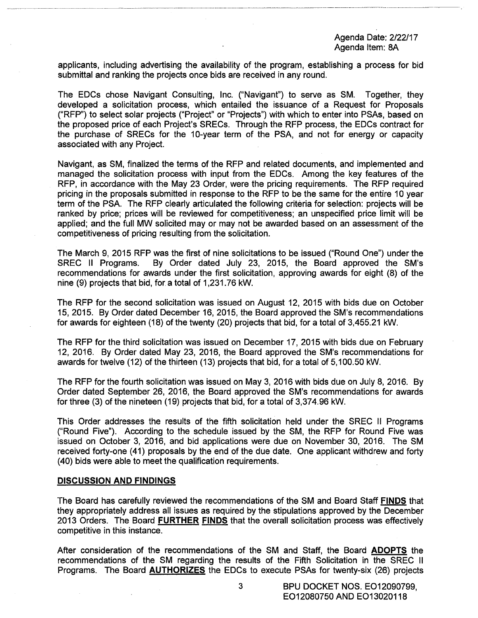applicants, including advertising the availability of the program, establishing a process for bid submittal and ranking the projects once bids are received in any round.

The EDCs chose Navigant Consulting, Inc. ("Navigant") to serve as SM. Together, they developed a solicitation process, which entailed the issuance of a Request for Proposals ("RFP") to select solar projects ("Project" or "Projects") with which to enter into PSAs, based on the proposed price of each Project's SRECs. Through the RFP process, the EDCs contract for the purchase of SRECs for the 10-year term of the PSA, and not for energy or capacity associated with any Project.

Navigant, as SM, finalized the terms of the RFP and related documents, and implemented and managed the solicitation process with input from the EDCs. Among the key features of the RFP, in accordance with the May 23 Order, were the pricing requirements. The RFP required pricing in the proposals submitted in response to the RFP to be the same for the entire 10 year term of the PSA. The RFP clearly articulated the following criteria for selection: projects will be ranked by price; prices will be reviewed for competitiveness; an unspecified price limit will be applied; and the full MW solicited may or may not be awarded based on an assessment of the competitiveness of pricing resulting from the solicitation.

The March 9, 2015 RFP was the first of nine solicitations to be issued ("Round One") under the SREC II Programs. By Order dated July 23, 2015, the Board approved the SM's recommendations for awards under the first solicitation, approving awards for eight (8) of the nine (9) projects that bid, for a total of 1,231.76 kW.

The RFP for the second solicitation was issued on August 12, 2015 with bids due on October 15, 2015. By Order dated December 16, 2015, the Board approved the SM's recommendations for awards for eighteen (18) of the twenty (20) projects that bid, for a total of 3,455.21 kW.

The RFP for the third solicitation was issued on December 17, 2015 with bids due on February 12, 2016. By Order dated May 23, 2016, the Board approved the SM's recommendations for awards for twelve (12) of the thirteen (13) projects that bid, for a total of 5,100.50 kW.

The RFP for the fourth solicitation was issued on May 3, 2016 with bids due on July 8, 2016. By Order dated September 26, 2016, the Board approved the SM's recommendations for awards for three (3) of the nineteen (19) projects that bid, for a total of 3,374.96 kW.

This Order addresses the results of the fifth solicitation held under the SREC II Programs ("Round Five"). According to the schedule issued by the SM, the RFP for Round Five was issued on October 3, 2016, and bid applications were due on November 30, 2016. The SM received forty-one (41) proposals by the end of the due date. One applicant withdrew and forty (40) bids were able to meet the qualification requirements.

## **DISCUSSION AND FINDINGS**

The Board has carefully reviewed the recommendations of the SM and Board Staff **FINDS** that they appropriately address all issues as required by the stipulations approved by the December 2013 Orders. The Board **FURTHER FINDS** that the overall solicitation process was effectively competitive in this instance.

After consideration of the recommendations of the SM and Staff, the Board **ADOPTS** the recommendations of the SM regarding the results of the Fifth Solicitation in the SREC II Programs. The Board **AUTHORIZES** the EDCs to execute PSAs for twenty-six (26) projects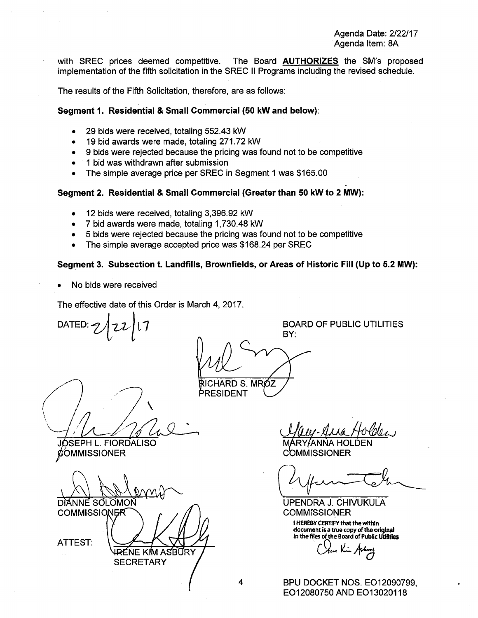with SREC prices deemed competitive. The Board **AUTHORIZES** the SM's proposed implementation of the fifth solicitation in the SREC II Programs including the revised schedule.

The results of the Fifth Solicitation, therefore, are as follows:

## **Segment 1. Residential & Small Commercial (50 kW and below):**

- 29 bids were received, totaling 552.43 kW
- 19 bid awards were made, totaling 271.72 kW
- 9 bids were rejected because the pricing was found not to be competitive
- 1 bid was withdrawn after submission
- The simple average price per SREC in Segment 1 was \$165.00

## **Segment 2. Residential & Small Commercial (Greater than 50 kW to 2 MW):**

- 12 bids were received, totaling 3,396.92 kW
- 7 bid awards were made, totaling 1, 730.48 kW
- 5 bids were rejected because the pricing was found not to be competitive
- The simple average accepted price was \$168.24 per SREC

## **Segment 3. Subsection t. Landfills, Brownfields, or Areas of Historic Fill (Up to 5.2 MW):**

• No bids were received

The effective date of this Order is March 4, 2017.

DATED:

BOARD OF PUBLIC UTILITIES

BY: RICHARD S. MRÓZ

PRESIDENT

 $\checkmark$  $/12/1642$ 

JOSEPH L. FIORDALISO **COMMISSIONER** 

**COMMISSIONER** DÌANNE SƠLOMON

RÉNE KIM **SECRETARY** 

**ASBURY** 

ATTEST:

MARY *ANNA* 

**COMMISSIONER** 

UPENDRA J. CHIVUKULA **COMMISSIONER** 

I HEREBY CERTIFY that the within document is a true copy of the original in the files of the Board of Public utllltles

*Ol.L.+cJ* 

BPU DOCKET NOS. E012090799, E012080750 AND E013020118

4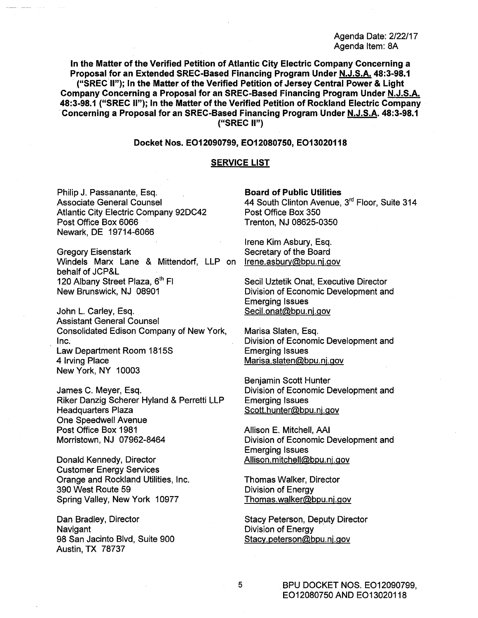In the Matter of the Verified Petition of Atlantic City Electric Company Concerning a Proposal for an Extended SREC-Based Financing Program Under N.J.S.A. 48:3-98.1 ("SREC II"); In the Matter of the Verified Petition of Jersey Central Power & Light Company Concerning a Proposal for an SREC-Based Financing Program Under N.J.S.A. 48:3-98.1 {"SREC II"); In the Matter of the Verified Petition of Rockland Electric Company Concerning a Proposal for an SREC-Based Financing Program Under N.J.S.A. 48:3-98.1 ("SREC II")

### Docket Nos. E012090799, E012080750, E013020118

### SERVICE LIST

Philip J. Passanante, Esq. Associate General Counsel Atlantic City Electric Company 92DC42 Post Office Box 6066 Newark, DE 19714-6066

Gregory Eisenstark Windels Marx Lane & Mittendorf, LLP on Irene.asbury@bpu.nj.gov behalf of JCP&L 120 Albany Street Plaza, 6<sup>th</sup> Fl New Brunswick, NJ 08901

John L. Carley, Esq. Assistant General Counsel Consolidated Edison Company of New York, Inc. Law Department Room 1815S 4 Irving Place New York, NY 10003

James C. Meyer, Esq. Riker Danzig Scherer Hyland & Perretti LLP Headquarters Plaza One Speedwell Avenue Post Office Box 1981 Morristown, NJ 07962-8464

Donald Kennedy, Director Customer Energy Services Orange and Rockland Utilities, Inc. 390 West Route 59 Spring Valley, New York 10977

Dan Bradley, Director **Navigant** 98 San Jacinto Blvd, Suite 900 Austin, TX 78737

#### Board of Public Utilities

44 South Clinton Avenue, 3<sup>rd</sup> Floor, Suite 314 Post Office Box 350 Trenton, NJ 08625-0350

Irene Kim Asbury, Esq. Secretary of the Board

Secil Uztetik Onat, Executive Director Division of Economic Development and Emerging Issues Secil.onat@bpu.nj.gov

Marisa Slaten, Esq. Division of Economic Development and Emerging Issues Marisa.slaten@bpu. nj.gov

Benjamin Scott Hunter Division of Economic Development and Emerging Issues Scott.hunter@bpu.nj.gov

Allison E. Mitchell, AAI Division of Economic Development and Emerging Issues Allison.mitchell@bpu.nj.gov

Thomas Walker, Director Division of Energy Thomas. walker@bpu. nj.gov

Stacy Peterson, Deputy Director Division of Energy Stacy.peterson@bpu.nj.gov